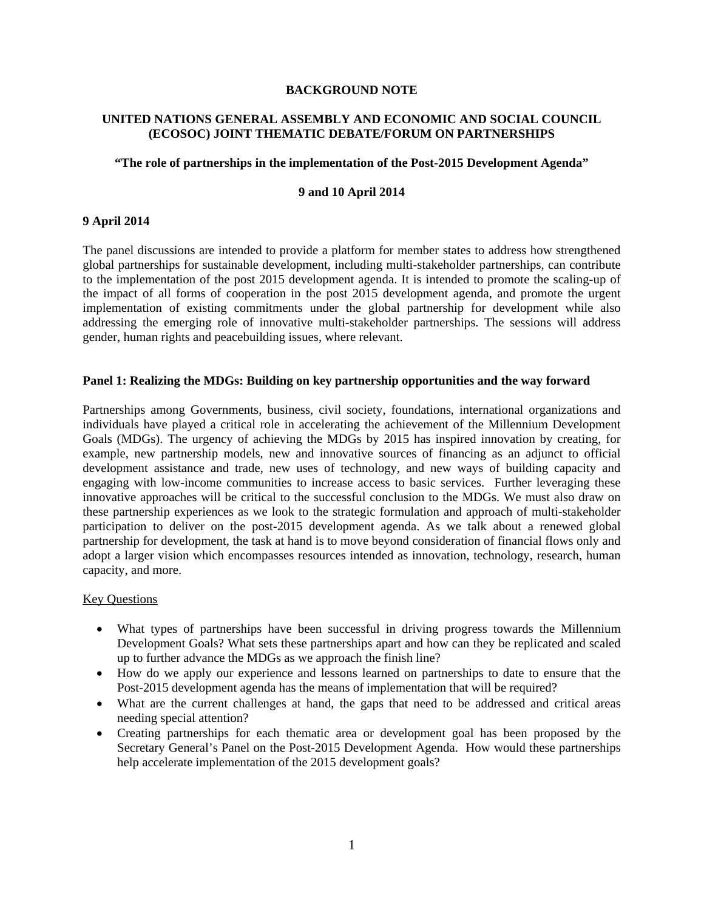#### **BACKGROUND NOTE**

# **UNITED NATIONS GENERAL ASSEMBLY AND ECONOMIC AND SOCIAL COUNCIL (ECOSOC) JOINT THEMATIC DEBATE/FORUM ON PARTNERSHIPS**

#### **"The role of partnerships in the implementation of the Post-2015 Development Agenda"**

### **9 and 10 April 2014**

# **9 April 2014**

The panel discussions are intended to provide a platform for member states to address how strengthened global partnerships for sustainable development, including multi-stakeholder partnerships, can contribute to the implementation of the post 2015 development agenda. It is intended to promote the scaling-up of the impact of all forms of cooperation in the post 2015 development agenda, and promote the urgent implementation of existing commitments under the global partnership for development while also addressing the emerging role of innovative multi-stakeholder partnerships. The sessions will address gender, human rights and peacebuilding issues, where relevant.

### **Panel 1: Realizing the MDGs: Building on key partnership opportunities and the way forward**

Partnerships among Governments, business, civil society, foundations, international organizations and individuals have played a critical role in accelerating the achievement of the Millennium Development Goals (MDGs). The urgency of achieving the MDGs by 2015 has inspired innovation by creating, for example, new partnership models, new and innovative sources of financing as an adjunct to official development assistance and trade, new uses of technology, and new ways of building capacity and engaging with low-income communities to increase access to basic services. Further leveraging these innovative approaches will be critical to the successful conclusion to the MDGs. We must also draw on these partnership experiences as we look to the strategic formulation and approach of multi-stakeholder participation to deliver on the post-2015 development agenda. As we talk about a renewed global partnership for development, the task at hand is to move beyond consideration of financial flows only and adopt a larger vision which encompasses resources intended as innovation, technology, research, human capacity, and more.

- What types of partnerships have been successful in driving progress towards the Millennium Development Goals? What sets these partnerships apart and how can they be replicated and scaled up to further advance the MDGs as we approach the finish line?
- How do we apply our experience and lessons learned on partnerships to date to ensure that the Post-2015 development agenda has the means of implementation that will be required?
- What are the current challenges at hand, the gaps that need to be addressed and critical areas needing special attention?
- Creating partnerships for each thematic area or development goal has been proposed by the Secretary General's Panel on the Post-2015 Development Agenda. How would these partnerships help accelerate implementation of the 2015 development goals?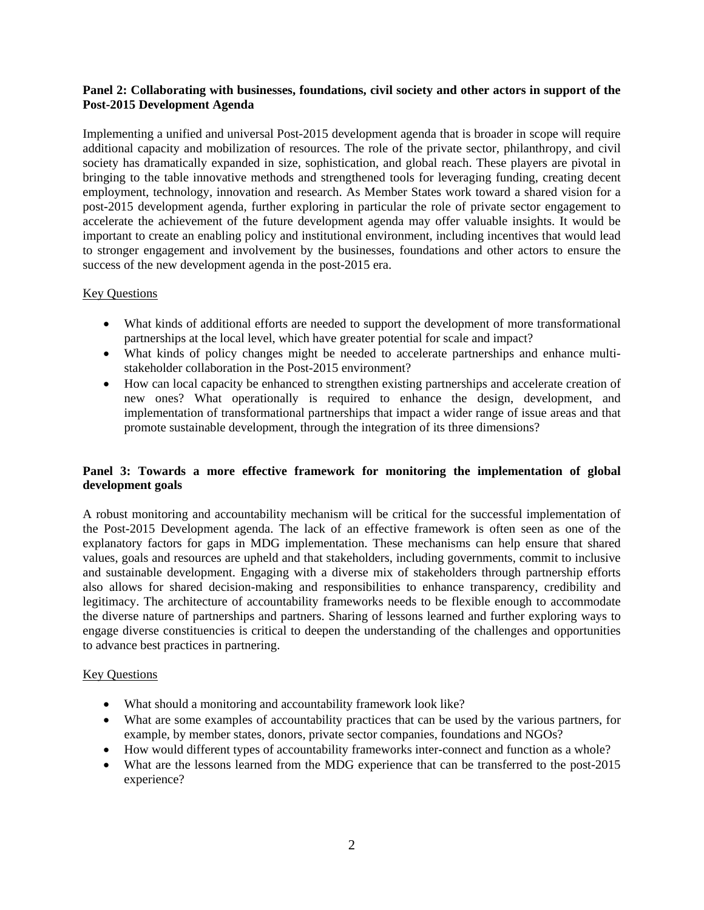### **Panel 2: Collaborating with businesses, foundations, civil society and other actors in support of the Post-2015 Development Agenda**

Implementing a unified and universal Post-2015 development agenda that is broader in scope will require additional capacity and mobilization of resources. The role of the private sector, philanthropy, and civil society has dramatically expanded in size, sophistication, and global reach. These players are pivotal in bringing to the table innovative methods and strengthened tools for leveraging funding, creating decent employment, technology, innovation and research. As Member States work toward a shared vision for a post-2015 development agenda, further exploring in particular the role of private sector engagement to accelerate the achievement of the future development agenda may offer valuable insights. It would be important to create an enabling policy and institutional environment, including incentives that would lead to stronger engagement and involvement by the businesses, foundations and other actors to ensure the success of the new development agenda in the post-2015 era.

# Key Questions

- What kinds of additional efforts are needed to support the development of more transformational partnerships at the local level, which have greater potential for scale and impact?
- What kinds of policy changes might be needed to accelerate partnerships and enhance multistakeholder collaboration in the Post-2015 environment?
- How can local capacity be enhanced to strengthen existing partnerships and accelerate creation of new ones? What operationally is required to enhance the design, development, and implementation of transformational partnerships that impact a wider range of issue areas and that promote sustainable development, through the integration of its three dimensions?

# **Panel 3: Towards a more effective framework for monitoring the implementation of global development goals**

A robust monitoring and accountability mechanism will be critical for the successful implementation of the Post-2015 Development agenda. The lack of an effective framework is often seen as one of the explanatory factors for gaps in MDG implementation. These mechanisms can help ensure that shared values, goals and resources are upheld and that stakeholders, including governments, commit to inclusive and sustainable development. Engaging with a diverse mix of stakeholders through partnership efforts also allows for shared decision-making and responsibilities to enhance transparency, credibility and legitimacy. The architecture of accountability frameworks needs to be flexible enough to accommodate the diverse nature of partnerships and partners. Sharing of lessons learned and further exploring ways to engage diverse constituencies is critical to deepen the understanding of the challenges and opportunities to advance best practices in partnering.

- What should a monitoring and accountability framework look like?
- What are some examples of accountability practices that can be used by the various partners, for example, by member states, donors, private sector companies, foundations and NGOs?
- How would different types of accountability frameworks inter-connect and function as a whole?
- What are the lessons learned from the MDG experience that can be transferred to the post-2015 experience?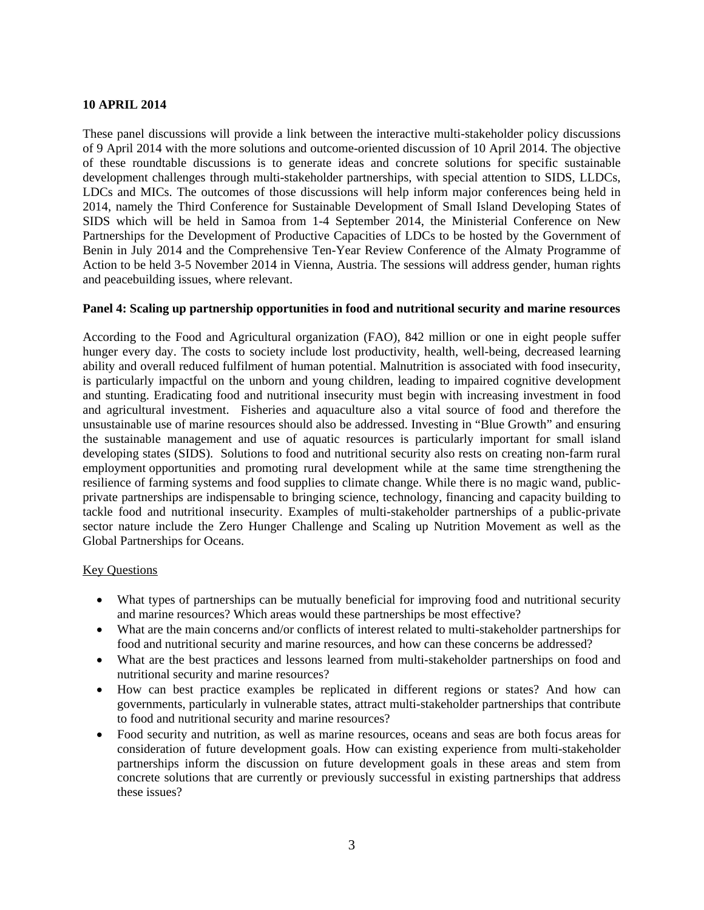### **10 APRIL 2014**

These panel discussions will provide a link between the interactive multi-stakeholder policy discussions of 9 April 2014 with the more solutions and outcome-oriented discussion of 10 April 2014. The objective of these roundtable discussions is to generate ideas and concrete solutions for specific sustainable development challenges through multi-stakeholder partnerships, with special attention to SIDS, LLDCs, LDCs and MICs. The outcomes of those discussions will help inform major conferences being held in 2014, namely the Third Conference for Sustainable Development of Small Island Developing States of SIDS which will be held in Samoa from 1-4 September 2014, the Ministerial Conference on New Partnerships for the Development of Productive Capacities of LDCs to be hosted by the Government of Benin in July 2014 and the Comprehensive Ten-Year Review Conference of the Almaty Programme of Action to be held 3-5 November 2014 in Vienna, Austria. The sessions will address gender, human rights and peacebuilding issues, where relevant.

#### **Panel 4: Scaling up partnership opportunities in food and nutritional security and marine resources**

According to the Food and Agricultural organization (FAO), 842 million or one in eight people suffer hunger every day. The costs to society include lost productivity, health, well-being, decreased learning ability and overall reduced fulfilment of human potential. Malnutrition is associated with food insecurity, is particularly impactful on the unborn and young children, leading to impaired cognitive development and stunting. Eradicating food and nutritional insecurity must begin with increasing investment in food and agricultural investment. Fisheries and aquaculture also a vital source of food and therefore the unsustainable use of marine resources should also be addressed. Investing in "Blue Growth" and ensuring the sustainable management and use of aquatic resources is particularly important for small island developing states (SIDS). Solutions to food and nutritional security also rests on creating non-farm rural employment opportunities and promoting rural development while at the same time strengthening the resilience of farming systems and food supplies to climate change. While there is no magic wand, publicprivate partnerships are indispensable to bringing science, technology, financing and capacity building to tackle food and nutritional insecurity. Examples of multi-stakeholder partnerships of a public-private sector nature include the Zero Hunger Challenge and Scaling up Nutrition Movement as well as the Global Partnerships for Oceans.

- What types of partnerships can be mutually beneficial for improving food and nutritional security and marine resources? Which areas would these partnerships be most effective?
- What are the main concerns and/or conflicts of interest related to multi-stakeholder partnerships for food and nutritional security and marine resources, and how can these concerns be addressed?
- What are the best practices and lessons learned from multi-stakeholder partnerships on food and nutritional security and marine resources?
- How can best practice examples be replicated in different regions or states? And how can governments, particularly in vulnerable states, attract multi-stakeholder partnerships that contribute to food and nutritional security and marine resources?
- Food security and nutrition, as well as marine resources, oceans and seas are both focus areas for consideration of future development goals. How can existing experience from multi-stakeholder partnerships inform the discussion on future development goals in these areas and stem from concrete solutions that are currently or previously successful in existing partnerships that address these issues?